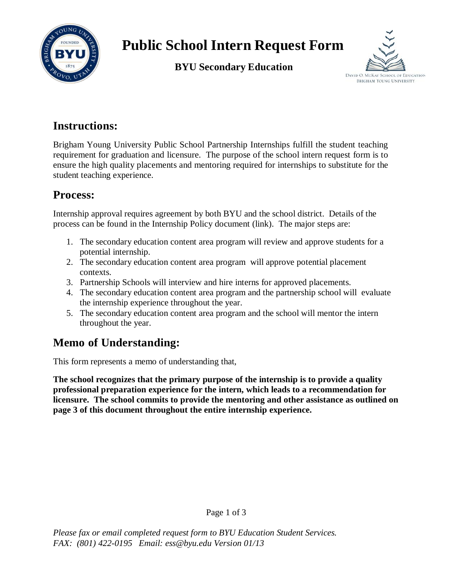

# **Public School Intern Request Form**

**BYU Secondary Education**



### **Instructions:**

Brigham Young University Public School Partnership Internships fulfill the student teaching requirement for graduation and licensure. The purpose of the school intern request form is to ensure the high quality placements and mentoring required for internships to substitute for the student teaching experience.

#### **Process:**

Internship approval requires agreement by both BYU and the school district. Details of the process can be found in the Internship Policy document (link). The major steps are:

- 1. The secondary education content area program will review and approve students for a potential internship.
- 2. The secondary education content area program will approve potential placement contexts.
- 3. Partnership Schools will interview and hire interns for approved placements.
- 4. The secondary education content area program and the partnership school will evaluate the internship experience throughout the year.
- 5. The secondary education content area program and the school will mentor the intern throughout the year.

## **Memo of Understanding:**

This form represents a memo of understanding that,

**The school recognizes that the primary purpose of the internship is to provide a quality professional preparation experience for the intern, which leads to a recommendation for licensure. The school commits to provide the mentoring and other assistance as outlined on page 3 of this document throughout the entire internship experience.**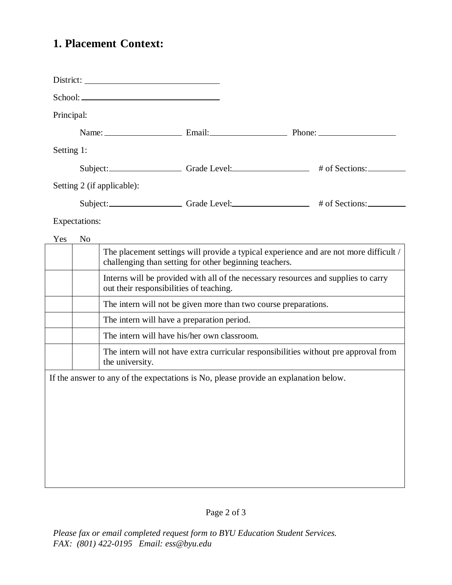# **1. Placement Context:**

| Principal:                                                                           |                |                                                                                                                                                 |  |                                                                                      |  |
|--------------------------------------------------------------------------------------|----------------|-------------------------------------------------------------------------------------------------------------------------------------------------|--|--------------------------------------------------------------------------------------|--|
|                                                                                      |                |                                                                                                                                                 |  |                                                                                      |  |
|                                                                                      |                |                                                                                                                                                 |  |                                                                                      |  |
| Setting 1:                                                                           |                |                                                                                                                                                 |  |                                                                                      |  |
| Subject: Grade Level: # of Sections:                                                 |                |                                                                                                                                                 |  |                                                                                      |  |
| Setting 2 (if applicable):                                                           |                |                                                                                                                                                 |  |                                                                                      |  |
|                                                                                      |                |                                                                                                                                                 |  | Subject: Grade Level: # of Sections:                                                 |  |
| Expectations:                                                                        |                |                                                                                                                                                 |  |                                                                                      |  |
| Yes                                                                                  | N <sub>o</sub> |                                                                                                                                                 |  |                                                                                      |  |
|                                                                                      |                | The placement settings will provide a typical experience and are not more difficult /<br>challenging than setting for other beginning teachers. |  |                                                                                      |  |
|                                                                                      |                | Interns will be provided with all of the necessary resources and supplies to carry<br>out their responsibilities of teaching.                   |  |                                                                                      |  |
|                                                                                      |                | The intern will not be given more than two course preparations.                                                                                 |  |                                                                                      |  |
|                                                                                      |                | The intern will have a preparation period.                                                                                                      |  |                                                                                      |  |
|                                                                                      |                | The intern will have his/her own classroom.                                                                                                     |  |                                                                                      |  |
|                                                                                      |                | the university.                                                                                                                                 |  | The intern will not have extra curricular responsibilities without pre approval from |  |
| If the answer to any of the expectations is No, please provide an explanation below. |                |                                                                                                                                                 |  |                                                                                      |  |
|                                                                                      |                |                                                                                                                                                 |  |                                                                                      |  |
|                                                                                      |                |                                                                                                                                                 |  |                                                                                      |  |
|                                                                                      |                |                                                                                                                                                 |  |                                                                                      |  |
|                                                                                      |                |                                                                                                                                                 |  |                                                                                      |  |
|                                                                                      |                |                                                                                                                                                 |  |                                                                                      |  |
|                                                                                      |                |                                                                                                                                                 |  |                                                                                      |  |
|                                                                                      |                |                                                                                                                                                 |  |                                                                                      |  |